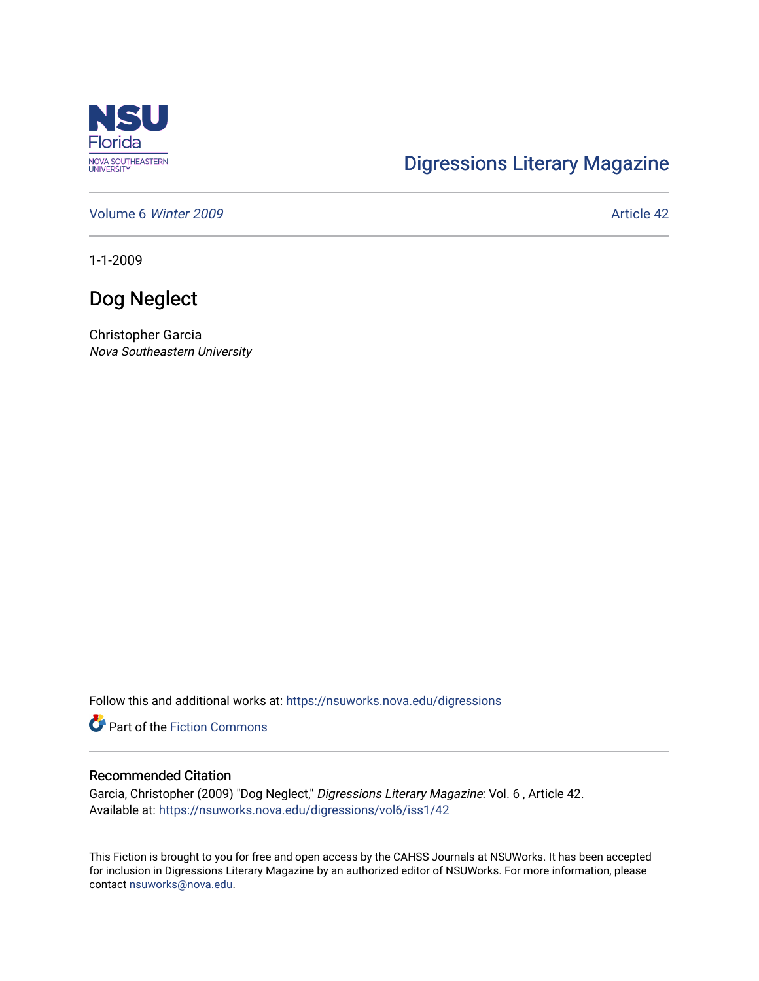

# [Digressions Literary Magazine](https://nsuworks.nova.edu/digressions)

[Volume 6](https://nsuworks.nova.edu/digressions/vol6) Winter 2009 **Article 42** Article 42

1-1-2009

# Dog Neglect

Christopher Garcia Nova Southeastern University

Follow this and additional works at: [https://nsuworks.nova.edu/digressions](https://nsuworks.nova.edu/digressions?utm_source=nsuworks.nova.edu%2Fdigressions%2Fvol6%2Fiss1%2F42&utm_medium=PDF&utm_campaign=PDFCoverPages) 

**Part of the Fiction Commons** 

### Recommended Citation

Garcia, Christopher (2009) "Dog Neglect," Digressions Literary Magazine: Vol. 6 , Article 42. Available at: [https://nsuworks.nova.edu/digressions/vol6/iss1/42](https://nsuworks.nova.edu/digressions/vol6/iss1/42?utm_source=nsuworks.nova.edu%2Fdigressions%2Fvol6%2Fiss1%2F42&utm_medium=PDF&utm_campaign=PDFCoverPages) 

This Fiction is brought to you for free and open access by the CAHSS Journals at NSUWorks. It has been accepted for inclusion in Digressions Literary Magazine by an authorized editor of NSUWorks. For more information, please contact [nsuworks@nova.edu.](mailto:nsuworks@nova.edu)